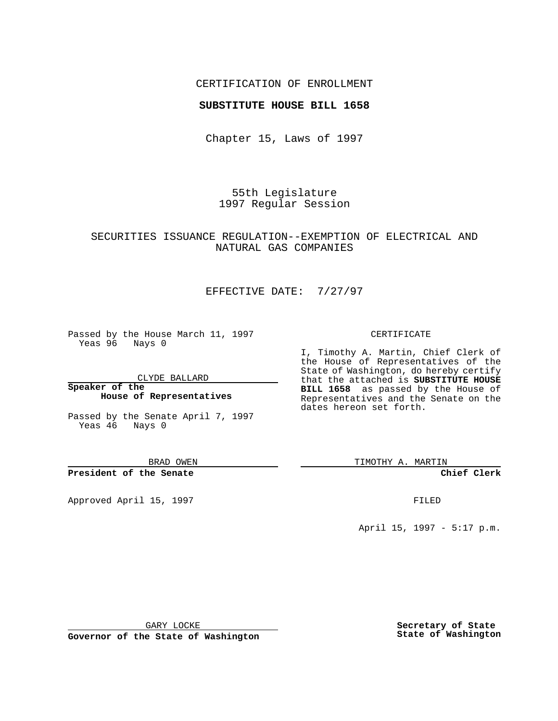## CERTIFICATION OF ENROLLMENT

### **SUBSTITUTE HOUSE BILL 1658**

Chapter 15, Laws of 1997

55th Legislature 1997 Regular Session

# SECURITIES ISSUANCE REGULATION--EXEMPTION OF ELECTRICAL AND NATURAL GAS COMPANIES

# EFFECTIVE DATE: 7/27/97

Passed by the House March 11, 1997 Yeas 96 Nays 0

CLYDE BALLARD

**Speaker of the House of Representatives**

Passed by the Senate April 7, 1997 Yeas 46 Nays 0

BRAD OWEN

**President of the Senate**

Approved April 15, 1997 **FILED** 

### CERTIFICATE

I, Timothy A. Martin, Chief Clerk of the House of Representatives of the State of Washington, do hereby certify that the attached is **SUBSTITUTE HOUSE BILL 1658** as passed by the House of Representatives and the Senate on the dates hereon set forth.

TIMOTHY A. MARTIN

**Chief Clerk**

April 15, 1997 - 5:17 p.m.

GARY LOCKE

**Governor of the State of Washington**

**Secretary of State State of Washington**